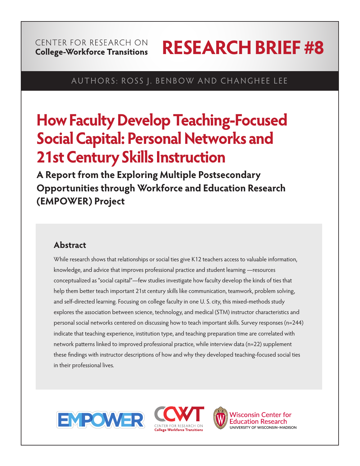# CENTER FOR RESEARCH ON **College-Workforce Transitions**

# **RESEARCH BRIEF #8**

# AUTHORS: ROSS J. BENBOW AND CHANGHEE LEE

# **How Faculty Develop Teaching-Focused Social Capital: Personal Networks and 21st Century Skills Instruction**

**A Report from the Exploring Multiple Postsecondary Opportunities through Workforce and Education Research (EMPOWER) Project**

# **Abstract**

While research shows that relationships or social ties give K12 teachers access to valuable information, knowledge, and advice that improves professional practice and student learning —resources conceptualized as "social capital"—few studies investigate how faculty develop the kinds of ties that help them better teach important 21st century skills like communication, teamwork, problem solving, and self-directed learning. Focusing on college faculty in one U. S. city, this mixed-methods study explores the association between science, technology, and medical (STM) instructor characteristics and personal social networks centered on discussing how to teach important skills. Survey responses (n=244) indicate that teaching experience, institution type, and teaching preparation time are correlated with network patterns linked to improved professional practice, while interview data (n=22) supplement these findings with instructor descriptions of how and why they developed teaching-focused social ties in their professional lives.







**Wisconsin Center for Education Research** UNIVERSITY OF WISCONSIN-MADISON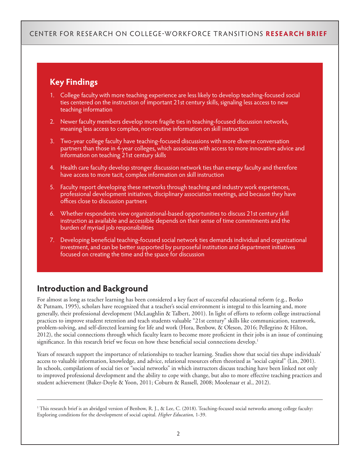# **Key Findings**

- 1. College faculty with more teaching experience are less likely to develop teaching-focused social ties centered on the instruction of important 21st century skills, signaling less access to new teaching information
- 2. Newer faculty members develop more fragile ties in teaching-focused discussion networks, meaning less access to complex, non-routine information on skill instruction
- 3. Two-year college faculty have teaching-focused discussions with more diverse conversation partners than those in 4-year colleges, which associates with access to more innovative advice and information on teaching 21st century skills
- 4. Health care faculty develop stronger discussion network ties than energy faculty and therefore have access to more tacit, complex information on skill instruction
- 5. Faculty report developing these networks through teaching and industry work experiences, professional development initiatives, disciplinary association meetings, and because they have offices close to discussion partners
- 6. Whether respondents view organizational-based opportunities to discuss 21st century skill instruction as available and accessible depends on their sense of time commitments and the burden of myriad job responsibilities
- 7. Developing beneficial teaching-focused social network ties demands individual and organizational investment, and can be better supported by purposeful institution and department initiatives focused on creating the time and the space for discussion

# **Introduction and Background**

For almost as long as teacher learning has been considered a key facet of successful educational reform (e.g., Borko & Putnam, 1995), scholars have recognized that a teacher's social environment is integral to this learning and, more generally, their professional development (McLaughlin & Talbert, 2001). In light of efforts to reform college instructional practices to improve student retention and teach students valuable "21st century" skills like communication, teamwork, problem-solving, and self-directed learning for life and work (Hora, Benbow, & Oleson, 2016; Pellegrino & Hilton, 2012), the social connections through which faculty learn to become more proficient in their jobs is an issue of continuing significance. In this research brief we focus on how these beneficial social connections develop.<sup>1</sup>

Years of research support the importance of relationships to teacher learning. Studies show that social ties shape individuals' access to valuable information, knowledge, and advice, relational resources often theorized as "social capital" (Lin, 2001). In schools, compilations of social ties or "social networks" in which instructors discuss teaching have been linked not only to improved professional development and the ability to cope with change, but also to more effective teaching practices and student achievement (Baker-Doyle & Yoon, 2011; Coburn & Russell, 2008; Moolenaar et al., 2012).

<sup>1</sup> This research brief is an abridged version of Benbow, R. J., & Lee, C. (2018). Teaching-focused social networks among college faculty: Exploring conditions for the development of social capital. *Higher Education,* 1-39.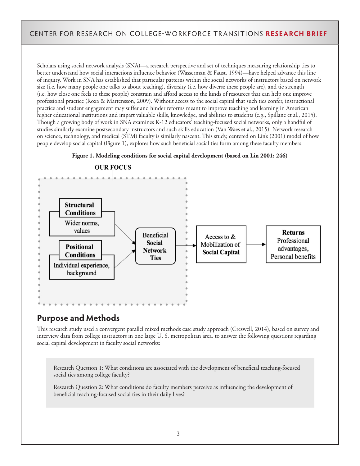Scholars using social network analysis (SNA)—a research perspective and set of techniques measuring relationship ties to better understand how social interactions influence behavior (Wasserman & Faust, 1994)—have helped advance this line of inquiry. Work in SNA has established that particular patterns within the social networks of instructors based on network size (i.e. how many people one talks to about teaching), diversity (i.e. how diverse these people are), and tie strength (i.e. how close one feels to these people) constrain and afford access to the kinds of resources that can help one improve professional practice (Roxa & Martensson, 2009). Without access to the social capital that such ties confer, instructional practice and student engagement may suffer and hinder reforms meant to improve teaching and learning in American higher educational institutions and impart valuable skills, knowledge, and abilities to students (e.g., Spillane et al., 2015). Though a growing body of work in SNA examines K-12 educators' teaching-focused social networks, only a handful of studies similarly examine postsecondary instructors and such skills education (Van Waes et al., 2015). Network research on science, technology, and medical (STM) faculty is similarly nascent. This study, centered on Lin's (2001) model of how people develop social capital (Figure 1), explores how such beneficial social ties form among these faculty members.





**OUR FOCUS** 

# **Purpose and Methods**

This research study used a convergent parallel mixed methods case study approach (Creswell, 2014), based on survey and interview data from college instructors in one large U. S. metropolitan area, to answer the following questions regarding social capital development in faculty social networks:

Research Question 1: What conditions are associated with the development of beneficial teaching-focused social ties among college faculty?

Research Question 2: What conditions do faculty members perceive as influencing the development of beneficial teaching-focused social ties in their daily lives?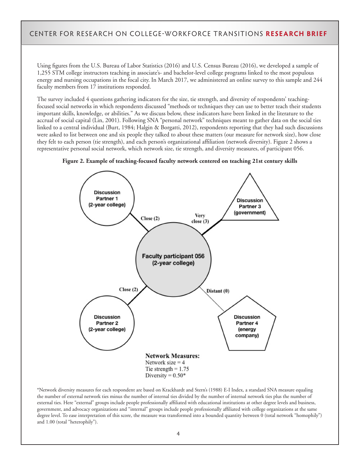Using figures from the U.S. Bureau of Labor Statistics (2016) and U.S. Census Bureau (2016), we developed a sample of 1,255 STM college instructors teaching in associate's- and bachelor-level college programs linked to the most populous energy and nursing occupations in the focal city. In March 2017, we administered an online survey to this sample and 244 faculty members from 17 institutions responded.

The survey included 4 questions gathering indicators for the size, tie strength, and diversity of respondents' teachingfocused social networks in which respondents discussed "methods or techniques they can use to better teach their students important skills, knowledge, or abilities." As we discuss below, these indicators have been linked in the literature to the accrual of social capital (Lin, 2001). Following SNA "personal network" techniques meant to gather data on the social ties linked to a central individual (Burt, 1984; Halgin & Borgatti, 2012), respondents reporting that they had such discussions were asked to list between one and six people they talked to about these matters (our measure for network size), how close they felt to each person (tie strength), and each person's organizational affiliation (network diversity). Figure 2 shows a representative personal social network, which network size, tie strength, and diversity measures, of participant 056.



**Figure 2. Example of teaching-focused faculty network centered on teaching 21st century skills**

\*Network diversity measures for each respondent are based on Krackhardt and Stern's (1988) E-I Index, a standard SNA measure equaling the number of external network ties minus the number of internal ties divided by the number of internal network ties plus the number of external ties. Here "external" groups include people professionally affiliated with educational institutions at other degree levels and business, government, and advocacy organizations and "internal" groups include people professionally affiliated with college organizations at the same degree level. To ease interpretation of this score, the measure was transformed into a bounded quantity between 0 (total network "homophily") and 1.00 (total "heterophily").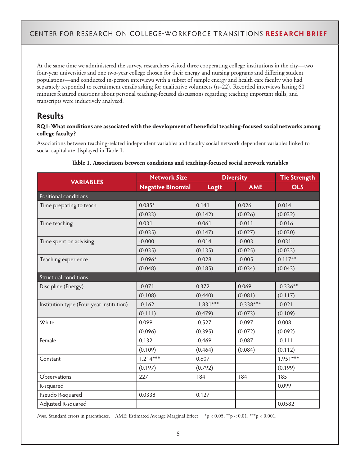At the same time we administered the survey, researchers visited three cooperating college institutions in the city—two four-year universities and one two-year college chosen for their energy and nursing programs and differing student populations—and conducted in-person interviews with a subset of sample energy and health care faculty who had separately responded to recruitment emails asking for qualitative volunteers (n=22). Recorded interviews lasting 60 minutes featured questions about personal teaching-focused discussions regarding teaching important skills, and transcripts were inductively analyzed.

# **Results**

#### **RQ1: What conditions are associated with the development of beneficial teaching-focused social networks among college faculty?**

Associations between teaching-related independent variables and faculty social network dependent variables linked to social capital are displayed in Table 1.

| <b>VARIABLES</b>                         | <b>Network Size</b>      | <b>Diversity</b> |             | <b>Tie Strength</b> |  |
|------------------------------------------|--------------------------|------------------|-------------|---------------------|--|
|                                          | <b>Negative Binomial</b> | Logit            | <b>AME</b>  | <b>OLS</b>          |  |
| Positional conditions                    |                          |                  |             |                     |  |
| Time preparing to teach                  | $0.085*$                 | 0.141            | 0.026       | 0.014               |  |
|                                          | (0.033)                  | (0.142)          | (0.026)     | (0.032)             |  |
| Time teaching                            | 0.031                    | $-0.061$         | $-0.011$    | $-0.016$            |  |
|                                          | (0.035)                  | (0.147)          | (0.027)     | (0.030)             |  |
| Time spent on advising                   | $-0.000$                 | $-0.014$         | $-0.003$    | 0.031               |  |
|                                          | (0.035)                  | (0.135)          | (0.025)     | (0.033)             |  |
| Teaching experience                      | $-0.096*$                | $-0.028$         | $-0.005$    | $0.117***$          |  |
|                                          | (0.048)                  | (0.185)          | (0.034)     | (0.043)             |  |
| Structural conditions                    |                          |                  |             |                     |  |
| Discipline (Energy)                      | $-0.071$                 | 0.372            | 0.069       | $-0.336**$          |  |
|                                          | (0.108)                  | (0.440)          | (0.081)     | (0.117)             |  |
| Institution type (Four-year institution) | $-0.162$                 | $-1.831***$      | $-0.338***$ | $-0.021$            |  |
|                                          | (0.111)                  | (0.479)          | (0.073)     | (0.109)             |  |
| White                                    | 0.099                    | $-0.527$         | $-0.097$    | 0.008               |  |
|                                          | (0.096)                  | (0.395)          | (0.072)     | (0.092)             |  |
| Female                                   | 0.132                    | $-0.469$         | $-0.087$    | $-0.111$            |  |
|                                          | (0.109)                  | (0.464)          | (0.084)     | (0.112)             |  |
| Constant                                 | $1.214***$               | 0.607            |             | $1.951***$          |  |
|                                          | (0.197)                  | (0.792)          |             | (0.199)             |  |
| Observations                             | 227                      | 184              | 184         | 185                 |  |
| R-squared                                |                          |                  |             | 0.099               |  |
| Pseudo R-squared                         | 0.0338                   | 0.127            |             |                     |  |
| Adjusted R-squared                       |                          |                  |             | 0.0582              |  |

#### **Table 1. Associations between conditions and teaching-focused social network variables**

*Note.* Standard errors in parentheses. AME: Estimated Average Marginal Effect \*p < 0.05, \*\*p < 0.01, \*\*\*p < 0.001.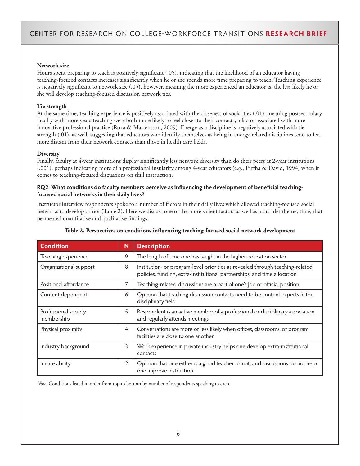#### **Network size**

Hours spent preparing to teach is positively significant (.05), indicating that the likelihood of an educator having teaching-focused contacts increases significantly when he or she spends more time preparing to teach. Teaching experience is negatively significant to network size (.05), however, meaning the more experienced an educator is, the less likely he or she will develop teaching-focused discussion network ties.

#### **Tie strength**

At the same time, teaching experience is positively associated with the closeness of social ties (.01), meaning postsecondary faculty with more years teaching were both more likely to feel closer to their contacts, a factor associated with more innovative professional practice (Roxa & Martensson, 2009). Energy as a discipline is negatively associated with tie strength (.01), as well, suggesting that educators who identify themselves as being in energy-related disciplines tend to feel more distant from their network contacts than those in health care fields.

#### **Diversity**

Finally, faculty at 4-year institutions display significantly less network diversity than do their peers at 2-year institutions (.001), perhaps indicating more of a professional insularity among 4-year educators (e.g., Partha & David, 1994) when it comes to teaching-focused discussions on skill instruction.

#### **RQ2: What conditions do faculty members perceive as influencing the development of beneficial teachingfocused social networks in their daily lives?**

Instructor interview respondents spoke to a number of factors in their daily lives which allowed teaching-focused social networks to develop or not (Table 2). Here we discuss one of the more salient factors as well as a broader theme, time, that permeated quantitative and qualitative findings.

| <b>Condition</b>                   | N              | <b>Description</b>                                                                                                                                        |  |
|------------------------------------|----------------|-----------------------------------------------------------------------------------------------------------------------------------------------------------|--|
| Teaching experience                | 9              | The length of time one has taught in the higher education sector                                                                                          |  |
| Organizational support             | 8              | Institution- or program-level priorities as revealed through teaching-related<br>policies, funding, extra-institutional partnerships, and time allocation |  |
| Positional affordance              | 7              | Teaching-related discussions are a part of one's job or official position                                                                                 |  |
| Content dependent                  | 6              | Opinion that teaching discussion contacts need to be content experts in the<br>disciplinary field                                                         |  |
| Professional society<br>membership | 5              | Respondent is an active member of a professional or disciplinary association<br>and regularly attends meetings                                            |  |
| Physical proximity                 | $\overline{4}$ | Conversations are more or less likely when offices, classrooms, or program<br>facilities are close to one another                                         |  |
| Industry background                | 3              | Work experience in private industry helps one develop extra-institutional<br>contacts                                                                     |  |
| Innate ability                     | $\overline{2}$ | Opinion that one either is a good teacher or not, and discussions do not help<br>one improve instruction                                                  |  |

#### **Table 2. Perspectives on conditions influencing teaching-focused social network development**

*Note.* Conditions listed in order from top to bottom by number of respondents speaking to each.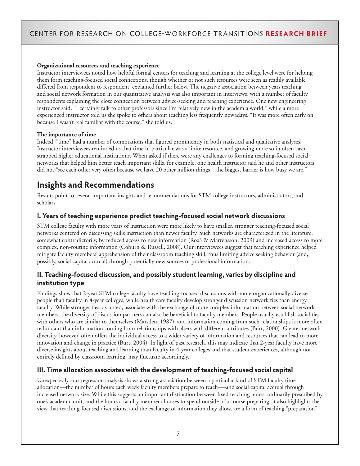#### **Organizational resources and teaching experience**

Instructor interviewees noted how helpful formal centers for teaching and learning at the college level were for helping them form teaching-focused social connections, though whether or not such resources were seen as readily available differed from respondent to respondent, explained further below. The negative association between years teaching and social network formation in our quantitative analysis was also important in interviews, with a number of faculty respondents explaining the close connection between advice-seeking and teaching experience. One new engineering instructor said, "I certainly talk to other professors since I'm relatively new in the academia world," while a more experienced instructor told us she spoke to others about teaching less frequently nowadays. "It was more often early on because I wasn't real familiar with the course," she told us.

#### **The importance of time**

Indeed, "time" had a number of connotations that figured prominently in both statistical and qualitative analyses. Instructor interviewees reminded us that time in particular was a finite resource, and growing more so in often cashstrapped higher educational institutions. When asked if there were any challenges to forming teaching-focused social networks that helped him better teach important skills, for example, one health instructor said he and other instructors did not "see each other very often because we have 20 other million things...the biggest barrier is how busy we are."

# **Insights and Recommendations**

Results point to several important insights and recommendations for STM college instructors, administrators, and scholars.

## **I. Years of teaching experience predict teaching-focused social network discussions**

STM college faculty with more years of instruction were more likely to have smaller, stronger teaching-focused social networks centered on discussing skills instruction than newer faculty. Such networks are characterized in the literature, somewhat contradictorily, by reduced access to new information (Roxå & Mårtensson, 2009) and increased access to more complex, non-routine information (Coburn & Russell, 2008). Our interviewees suggest that teaching experience helped mitigate faculty members' apprehension of their classroom teaching skill, thus limiting advice seeking behavior (and, possibly, social capital accrual) through potentially new sources of professional information.

## **II. Teaching-focused discussion, and possibly student learning, varies by discipline and institution type**

Findings show that 2-year STM college faculty have teaching-focused discussions with more organizationally diverse people than faculty in 4-year colleges, while health care faculty develop stronger discussion network ties than energy faculty. While stronger ties, as noted, associate with the exchange of more complex information between social network members, the diversity of discussion partners can also be beneficial to faculty members. People usually establish social ties with others who are similar to themselves (Marsden, 1987), and information coming from such relationships is more often redundant than information coming from relationships with alters with different attributes (Burt, 2000). Greater network diversity, however, often offers the individual access to a wider variety of information and resources that can lead to more innovation and change in practice (Burt, 2004). In light of past research, this may indicate that 2-year faculty have more diverse insights about teaching and learning than faculty in 4-year colleges and that student experiences, although not entirely defined by classroom learning, may fluctuate accordingly.

## **III. Time allocation associates with the development of teaching-focused social capital**

Unexpectedly, our regression analysis shows a strong association between a particular kind of STM faculty time allocation—the number of hours each week faculty members prepare to teach—-and social capital accrual through increased network size. While this suggests an important distinction between fixed teaching hours, ordinarily prescribed by one's academic unit, and the hours a faculty member chooses to spend outside of a course preparing, it also highlights the view that teaching-focused discussions, and the exchange of information they allow, are a form of teaching "preparation"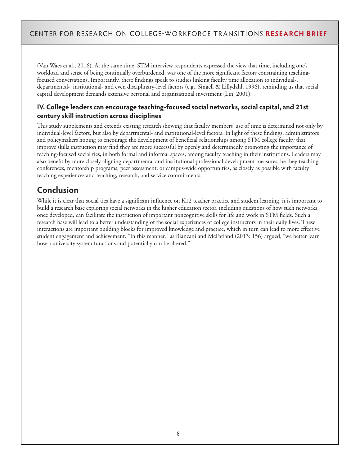(Van Waes et al., 2016). At the same time, STM interview respondents expressed the view that time, including one's workload and sense of being continually overburdened, was one of the more significant factors constraining teachingfocused conversations. Importantly, these findings speak to studies linking faculty time allocation to individual-, departmental-, institutional- and even disciplinary-level factors (e.g., Singell & Lillydahl, 1996), reminding us that social capital development demands extensive personal and organizational investment (Lin, 2001).

## **IV. College leaders can encourage teaching-focused social networks, social capital, and 21st century skill instruction across disciplines**

This study supplements and extends existing research showing that faculty members' use of time is determined not only by individual-level factors, but also by departmental- and institutional-level factors. In light of these findings, administrators and policymakers hoping to encourage the development of beneficial relationships among STM college faculty that improve skills instruction may find they are more successful by openly and determinedly promoting the importance of teaching-focused social ties, in both formal and informal spaces, among faculty teaching in their institutions. Leaders may also benefit by more closely aligning departmental and institutional professional development measures, be they teaching conferences, mentorship programs, peer assessment, or campus-wide opportunities, as closely as possible with faculty teaching experiences and teaching, research, and service commitments.

# **Conclusion**

While it is clear that social ties have a significant influence on K12 teacher practice and student learning, it is important to build a research base exploring social networks in the higher education sector, including questions of how such networks, once developed, can facilitate the instruction of important noncognitive skills for life and work in STM fields. Such a research base will lead to a better understanding of the social experiences of college instructors in their daily lives. These interactions are important building blocks for improved knowledge and practice, which in turn can lead to more effective student engagement and achievement. "In this manner," as Biancani and McFarland (2013: 156) argued, "we better learn how a university system functions and potentially can be altered."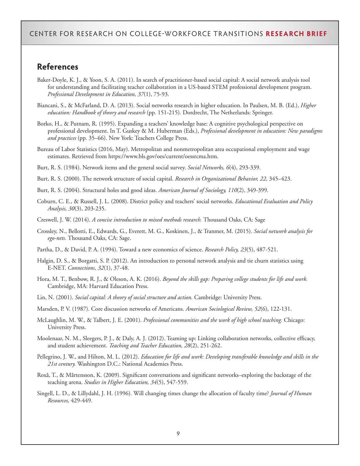## **References**

- Baker-Doyle, K. J., & Yoon, S. A. (2011). In search of practitioner-based social capital: A social network analysis tool for understanding and facilitating teacher collaboration in a US-based STEM professional development program. *Professional Development in Education, 37*(1), 75-93.
- Biancani, S., & McFarland, D. A. (2013). Social networks research in higher education. In Paulsen, M. B. (Ed.), *Higher education: Handbook of theory and research* (pp. 151-215). Dordrecht, The Netherlands: Springer.
- Borko, H., & Putnam, R. (1995). Expanding a teachers' knowledge base: A cognitive psychological perspective on professional development. In T. Guskey & M. Huberman (Eds.), *Professional development in education: New paradigms and practices* (pp. 35–66). New York: Teachers College Press.
- Bureau of Labor Statistics (2016, May). Metropolitan and nonmetropolitan area occupational employment and wage estimates. Retrieved from https://www.bls.gov/oes/current/oessrcma.htm.
- Burt, R. S. (1984). Network items and the general social survey. *Social Networks, 6*(4), 293-339.

Burt, R. S. (2000). The network structure of social capital. *Research in Organizational Behavior, 22,* 345–423.

- Burt, R. S. (2004). Structural holes and good ideas. *American Journal of Sociology, 110*(2), 349-399.
- Coburn, C. E., & Russell, J. L. (2008). District policy and teachers' social networks. *Educational Evaluation and Policy Analysis, 30*(3), 203-235.

Creswell, J. W. (2014). *A concise introduction to mixed methods research.* Thousand Oaks, CA: Sage

Crossley, N., Bellotti, E., Edwards, G., Everett, M. G., Koskinen, J., & Tranmer, M. (2015). *Social network analysis for ego-nets.* Thousand Oaks, CA: Sage.

Partha, D., & David, P. A. (1994). Toward a new economics of science. *Research Policy, 23*(5), 487-521.

- Halgin, D. S., & Borgatti, S. P. (2012). An introduction to personal network analysis and tie churn statistics using E-NET. *Connections, 32*(1), 37-48.
- Hora, M. T., Benbow, R. J., & Oleson, A. K. (2016). *Beyond the skills gap: Preparing college students for life and work.*  Cambridge, MA: Harvard Education Press.
- Lin, N. (2001). *Social capital: A theory of social structure and action.* Cambridge: University Press.
- Marsden, P. V. (1987). Core discussion networks of Americans. *American Sociological Review, 52*(6), 122-131.
- McLaughlin, M. W., & Talbert, J. E. (2001). *Professional communities and the work of high school teaching.* Chicago: University Press.
- Moolenaar, N. M., Sleegers, P. J., & Daly, A. J. (2012). Teaming up: Linking collaboration networks, collective efficacy, and student achievement. *Teaching and Teacher Education, 28*(2), 251-262.
- Pellegrino, J. W., and Hilton, M. L. (2012). *Education for life and work: Developing transferable knowledge and skills in the 21st century.* Washington D.C.: National Academies Press.
- Roxå, T., & Mårtensson, K. (2009). Significant conversations and significant networks–exploring the backstage of the teaching arena. *Studies in Higher Education, 34*(5), 547-559.
- Singell, L. D., & Lillydahl, J. H. (1996). Will changing times change the allocation of faculty time? *Journal of Human Resources,* 429-449.